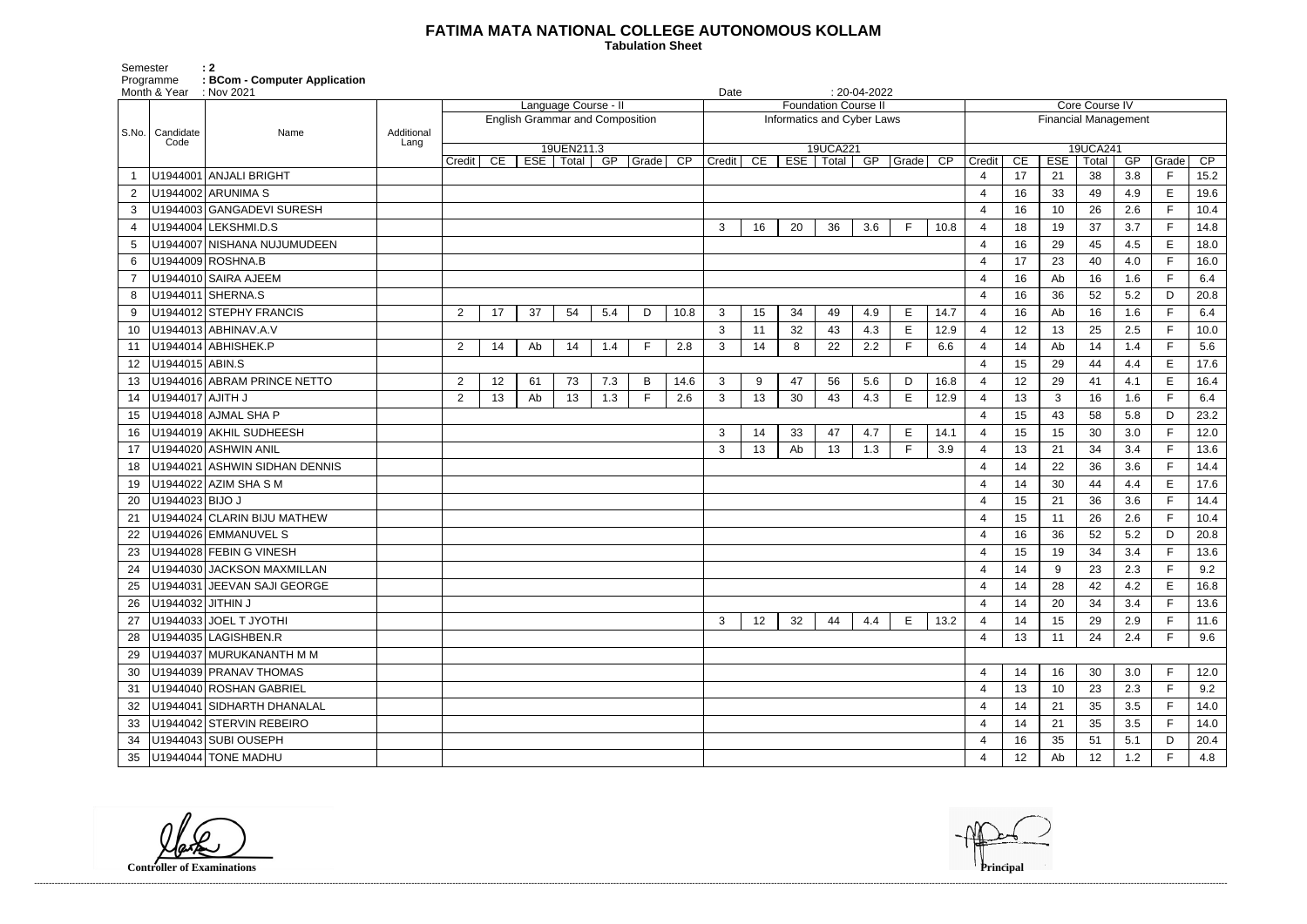## **FATIMA MATA NATIONAL COLLEGE AUTONOMOUS KOLLAM**

 **Tabulation Sheet** 

Semester : 2 Programme **: BCom - Computer Application**

|       | Month & Year      | $\therefore$ Nov 2021         |                    |                |    |    |                           |                                        |          |                 |        | Date |    |                             | $: 20-04-2022$             |             |      |                             |                 |            |                   |     |             |      |  |  |
|-------|-------------------|-------------------------------|--------------------|----------------|----|----|---------------------------|----------------------------------------|----------|-----------------|--------|------|----|-----------------------------|----------------------------|-------------|------|-----------------------------|-----------------|------------|-------------------|-----|-------------|------|--|--|
|       |                   |                               |                    |                |    |    | Language Course - I       |                                        |          |                 |        |      |    | <b>Foundation Course II</b> |                            |             |      |                             | Core Course IV  |            |                   |     |             |      |  |  |
|       |                   |                               |                    |                |    |    |                           | <b>English Grammar and Composition</b> |          |                 |        |      |    |                             | Informatics and Cyber Laws |             |      | <b>Financial Management</b> |                 |            |                   |     |             |      |  |  |
| S.No. | Candidate<br>Code | Name                          | Additional<br>Lang |                |    |    |                           |                                        |          |                 |        |      |    |                             |                            |             |      |                             |                 |            |                   |     |             |      |  |  |
|       |                   |                               |                    | Credit         | CE |    | 19UEN211.3<br>ESE   Total |                                        | GP Grade | $\overline{CP}$ | Credit | CE   |    | 19UCA221<br>ESE   Total     |                            | GP Grade CP |      | Credit                      | CE              | <b>ESE</b> | 19UCA241<br>Total | GP  | Grade       | CP   |  |  |
|       |                   | U1944001 ANJALI BRIGHT        |                    |                |    |    |                           |                                        |          |                 |        |      |    |                             |                            |             |      | $\overline{4}$              | 17              | 21         | 38                | 3.8 | F.          | 15.2 |  |  |
|       |                   | U1944002 ARUNIMA S            |                    |                |    |    |                           |                                        |          |                 |        |      |    |                             |                            |             |      | $\overline{4}$              | 16              | 33         | 49                | 4.9 | E           | 19.6 |  |  |
| 3     |                   | U1944003 GANGADEVI SURESH     |                    |                |    |    |                           |                                        |          |                 |        |      |    |                             |                            |             |      | $\overline{4}$              | 16              | 10         | 26                | 2.6 | F           | 10.4 |  |  |
| 4     |                   | U1944004 LEKSHMI.D.S          |                    |                |    |    |                           |                                        |          |                 | 3      | 16   | 20 | 36                          | 3.6                        | F           | 10.8 | $\overline{4}$              | 18              | 19         | 37                | 3.7 | F.          | 14.8 |  |  |
| 5     |                   | U1944007 NISHANA NUJUMUDEEN   |                    |                |    |    |                           |                                        |          |                 |        |      |    |                             |                            |             |      | $\overline{4}$              | 16              | 29         | 45                | 4.5 | $\mathsf E$ | 18.0 |  |  |
| 6     |                   | U1944009 ROSHNA.B             |                    |                |    |    |                           |                                        |          |                 |        |      |    |                             |                            |             |      | $\overline{4}$              | 17              | 23         | 40                | 4.0 | F.          | 16.0 |  |  |
|       |                   | U1944010 SAIRA AJEEM          |                    |                |    |    |                           |                                        |          |                 |        |      |    |                             |                            |             |      | $\overline{4}$              | 16              | Ab         | 16                | 1.6 | F.          | 6.4  |  |  |
| 8     |                   | U1944011 SHERNA.S             |                    |                |    |    |                           |                                        |          |                 |        |      |    |                             |                            |             |      | $\overline{4}$              | 16              | 36         | 52                | 5.2 | D           | 20.8 |  |  |
| 9     |                   | U1944012 STEPHY FRANCIS       |                    | $\overline{2}$ | 17 | 37 | 54                        | 5.4                                    | D        | 10.8            | 3      | 15   | 34 | 49                          | 4.9                        | Е           | 14.7 | $\overline{4}$              | 16              | Ab         | 16                | 1.6 | E           | 6.4  |  |  |
| 10    |                   | U1944013 ABHINAV.A.V          |                    |                |    |    |                           |                                        |          |                 | 3      | 11   | 32 | 43                          | 4.3                        | E           | 12.9 | $\overline{4}$              | 12              | 13         | 25                | 2.5 | F           | 10.0 |  |  |
| 11    |                   | U1944014 ABHISHEK.P           |                    | $\overline{2}$ | 14 | Ab | 14                        | 1.4                                    | F.       | 2.8             | 3      | 14   | 8  | 22                          | 2.2                        | E           | 6.6  | $\overline{4}$              | 14              | Ab         | 14                | 1.4 | F.          | 5.6  |  |  |
| 12    | U1944015 ABIN.S   |                               |                    |                |    |    |                           |                                        |          |                 |        |      |    |                             |                            |             |      | $\overline{4}$              | 15              | 29         | 44                | 4.4 | E           | 17.6 |  |  |
| 13    |                   | U1944016 ABRAM PRINCE NETTO   |                    | $\overline{2}$ | 12 | 61 | 73                        | 7.3                                    | B        | 14.6            | 3      | 9    | 47 | 56                          | 5.6                        | D           | 16.8 | $\overline{4}$              | 12              | 29         | 41                | 4.1 | $\mathsf E$ | 16.4 |  |  |
| 14    | U1944017 AJITH J  |                               |                    | $\overline{2}$ | 13 | Ab | 13                        | 1.3                                    | F        | 2.6             | 3      | 13   | 30 | 43                          | 4.3                        | Е           | 12.9 | $\overline{4}$              | 13              | 3          | 16                | 1.6 | F.          | 6.4  |  |  |
| 15    |                   | U1944018 AJMAL SHA P          |                    |                |    |    |                           |                                        |          |                 |        |      |    |                             |                            |             |      | $\overline{4}$              | 15              | 43         | 58                | 5.8 | D           | 23.2 |  |  |
| 16    |                   | U1944019 AKHIL SUDHEESH       |                    |                |    |    |                           |                                        |          |                 | 3      | 14   | 33 | 47                          | 4.7                        | Е           | 14.1 | $\overline{4}$              | 15              | 15         | 30                | 3.0 | F.          | 12.0 |  |  |
| 17    |                   | U1944020 ASHWIN ANIL          |                    |                |    |    |                           |                                        |          |                 | 3      | 13   | Ab | 13                          | 1.3                        | F           | 3.9  | $\overline{4}$              | 13              | 21         | 34                | 3.4 | F.          | 13.6 |  |  |
| 18    |                   | U1944021 ASHWIN SIDHAN DENNIS |                    |                |    |    |                           |                                        |          |                 |        |      |    |                             |                            |             |      | 4                           | 14              | 22         | 36                | 3.6 | F.          | 14.4 |  |  |
| 19    |                   | U1944022 AZIM SHA S M         |                    |                |    |    |                           |                                        |          |                 |        |      |    |                             |                            |             |      | $\overline{4}$              | 14              | 30         | 44                | 4.4 | E           | 17.6 |  |  |
| 20    | U1944023 BIJO J   |                               |                    |                |    |    |                           |                                        |          |                 |        |      |    |                             |                            |             |      | 4                           | 15              | 21         | 36                | 3.6 | F.          | 14.4 |  |  |
| 21    |                   | U1944024 CLARIN BIJU MATHEW   |                    |                |    |    |                           |                                        |          |                 |        |      |    |                             |                            |             |      | $\overline{4}$              | 15              | 11         | 26                | 2.6 | F.          | 10.4 |  |  |
| 22    |                   | U1944026 EMMANUVEL S          |                    |                |    |    |                           |                                        |          |                 |        |      |    |                             |                            |             |      | $\overline{4}$              | 16              | 36         | 52                | 5.2 | D           | 20.8 |  |  |
| 23    |                   | U1944028 FEBIN G VINESH       |                    |                |    |    |                           |                                        |          |                 |        |      |    |                             |                            |             |      | $\overline{4}$              | 15              | 19         | 34                | 3.4 | F.          | 13.6 |  |  |
| 24    |                   | U1944030 JACKSON MAXMILLAN    |                    |                |    |    |                           |                                        |          |                 |        |      |    |                             |                            |             |      | $\overline{4}$              | 14              | 9          | 23                | 2.3 | F.          | 9.2  |  |  |
| 25    |                   | U1944031 JEEVAN SAJI GEORGE   |                    |                |    |    |                           |                                        |          |                 |        |      |    |                             |                            |             |      | $\overline{4}$              | 14              | 28         | 42                | 4.2 | E           | 16.8 |  |  |
| 26    | U1944032 JITHIN J |                               |                    |                |    |    |                           |                                        |          |                 |        |      |    |                             |                            |             |      | 4                           | 14              | 20         | 34                | 3.4 | F.          | 13.6 |  |  |
| 27    |                   | U1944033 JOEL T JYOTHI        |                    |                |    |    |                           |                                        |          |                 | 3      | 12   | 32 | 44                          | 4.4                        | E           | 13.2 | $\overline{4}$              | 14              | 15         | 29                | 2.9 | F.          | 11.6 |  |  |
| 28    |                   | U1944035 LAGISHBEN.R          |                    |                |    |    |                           |                                        |          |                 |        |      |    |                             |                            |             |      | 4                           | 13              | 11         | 24                | 2.4 | F.          | 9.6  |  |  |
| 29    |                   | U1944037 MURUKANANTH M M      |                    |                |    |    |                           |                                        |          |                 |        |      |    |                             |                            |             |      |                             |                 |            |                   |     |             |      |  |  |
| 30    |                   | U1944039 PRANAV THOMAS        |                    |                |    |    |                           |                                        |          |                 |        |      |    |                             |                            |             |      | $\overline{4}$              | 14              | 16         | 30                | 3.0 | F.          | 12.0 |  |  |
| 31    |                   | U1944040 ROSHAN GABRIEL       |                    |                |    |    |                           |                                        |          |                 |        |      |    |                             |                            |             |      | $\overline{4}$              | 13              | 10         | 23                | 2.3 | F.          | 9.2  |  |  |
| 32    |                   | U1944041 SIDHARTH DHANALAL    |                    |                |    |    |                           |                                        |          |                 |        |      |    |                             |                            |             |      | $\overline{4}$              | 14              | 21         | 35                | 3.5 | F.          | 14.0 |  |  |
| 33    |                   | U1944042 STERVIN REBEIRO      |                    |                |    |    |                           |                                        |          |                 |        |      |    |                             |                            |             |      | 4                           | 14              | 21         | 35                | 3.5 | F           | 14.0 |  |  |
| 34    |                   | U1944043 SUBI OUSEPH          |                    |                |    |    |                           |                                        |          |                 |        |      |    |                             |                            |             |      | 4                           | 16              | 35         | 51                | 5.1 | D           | 20.4 |  |  |
| 35    |                   | U1944044 TONE MADHU           |                    |                |    |    |                           |                                        |          |                 |        |      |    |                             |                            |             |      | $\overline{4}$              | 12 <sub>2</sub> | Ab         | 12                | 1.2 | $\mathsf F$ | 4.8  |  |  |

**Controller of Examinations** 

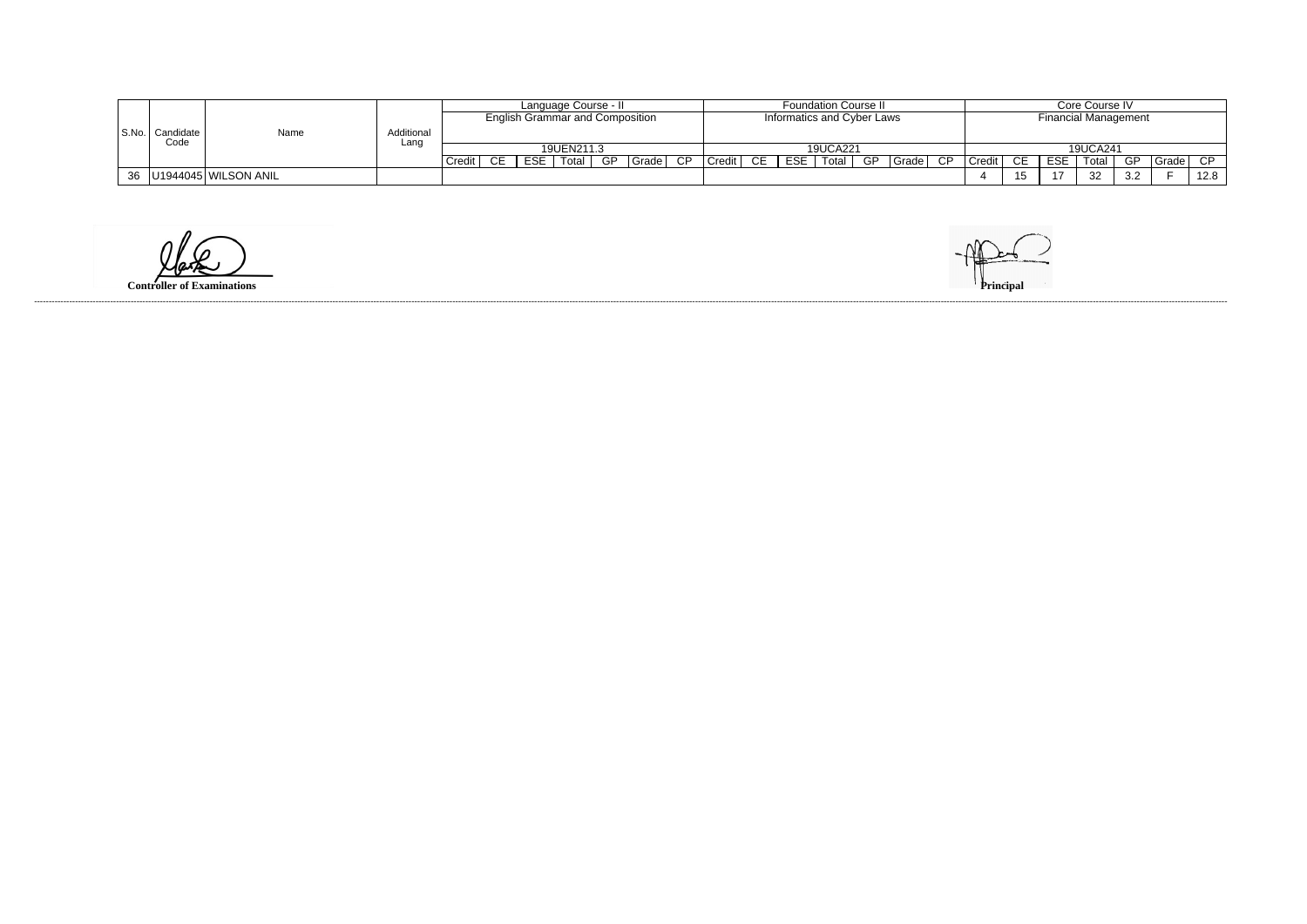|  |                   |                             |            | <b>Foundation Course II</b><br>Language Course - II<br><b>English Grammar and Composition</b><br>Informatics and Cyber Laws |      |     |            |    |                    |    |        |    |      | Core Course IV |    |       |    |                             |      |               |          |     |         |      |
|--|-------------------|-----------------------------|------------|-----------------------------------------------------------------------------------------------------------------------------|------|-----|------------|----|--------------------|----|--------|----|------|----------------|----|-------|----|-----------------------------|------|---------------|----------|-----|---------|------|
|  |                   |                             |            |                                                                                                                             |      |     |            |    |                    |    |        |    |      |                |    |       |    | <b>Financial Management</b> |      |               |          |     |         |      |
|  | S.No.   Candidate | Name                        | Additional |                                                                                                                             |      |     |            |    |                    |    |        |    |      |                |    |       |    |                             |      |               |          |     |         |      |
|  | Code              |                             | Lanc       |                                                                                                                             |      |     | 19UEN211.3 |    |                    |    |        |    |      | 19UCA221       |    |       |    |                             |      |               | 19UCA241 |     |         |      |
|  |                   |                             |            | Credit                                                                                                                      | CE I | ESE | Total I    | GP | <sup>I</sup> Grade | CP | Credit | CE | ESE. | Total          | GP | Grade | CP | Credit                      | - CE | <b>ESE</b>    | Total    | GP  | Grade I | CP.  |
|  |                   | 36   U1944045   WILSON ANIL |            |                                                                                                                             |      |     |            |    |                    |    |        |    |      |                |    |       |    |                             |      | $\rightarrow$ | 32       | 3.2 |         | 12.8 |

**Controller of Examinations**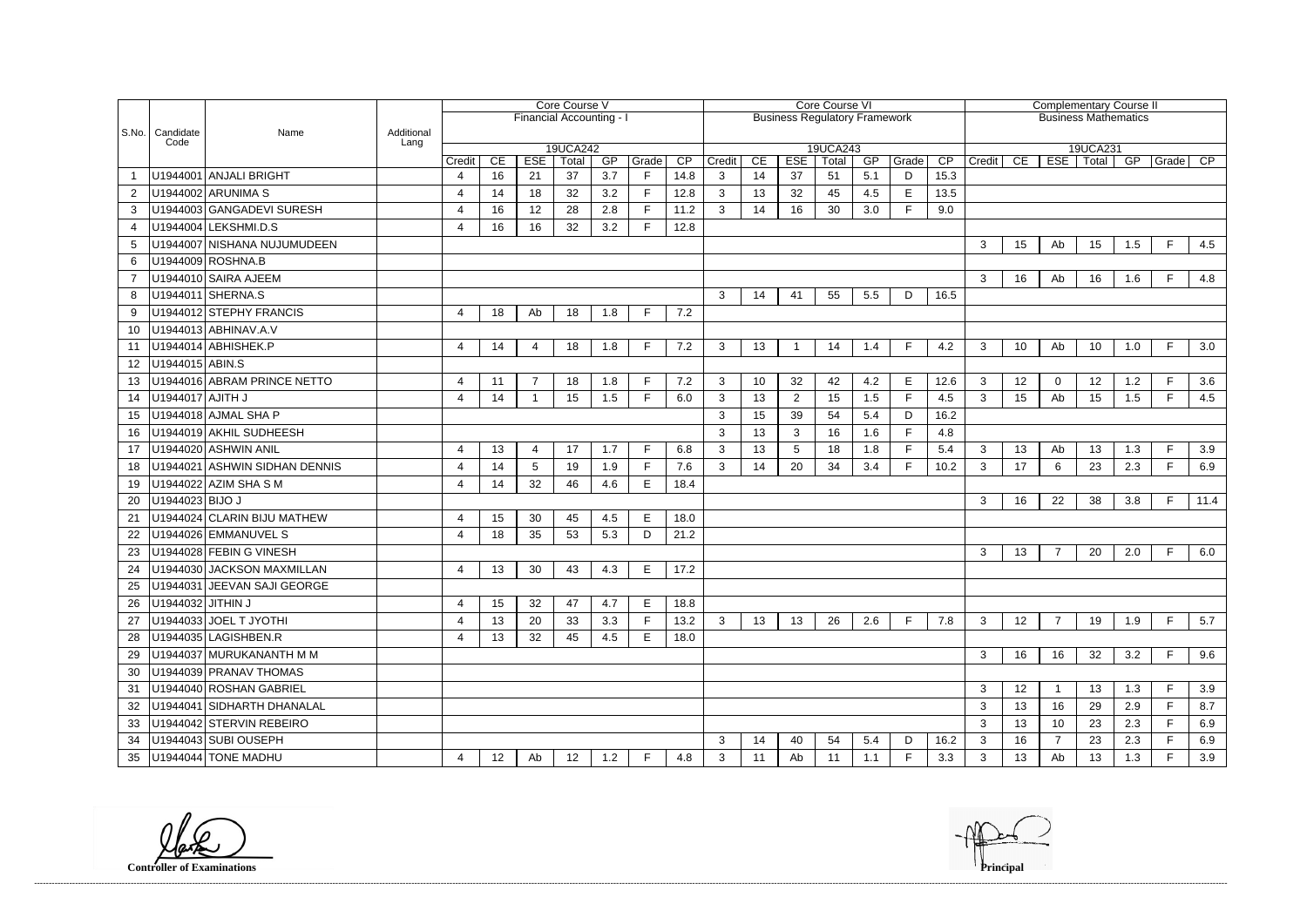|     |                           |                               |            | Core Course V    |    |                          |             |     | Core Course VI |                 |              |    |                |                                      |     |       | <b>Complementary Course II</b> |                             |    |                |             |                 |              |                 |  |
|-----|---------------------------|-------------------------------|------------|------------------|----|--------------------------|-------------|-----|----------------|-----------------|--------------|----|----------------|--------------------------------------|-----|-------|--------------------------------|-----------------------------|----|----------------|-------------|-----------------|--------------|-----------------|--|
|     |                           |                               |            |                  |    | Financial Accounting - I |             |     |                |                 |              |    |                | <b>Business Regulatory Framework</b> |     |       |                                | <b>Business Mathematics</b> |    |                |             |                 |              |                 |  |
|     | S.No.   Candidate<br>Code | Name                          | Additional |                  |    |                          |             |     |                |                 |              |    |                |                                      |     |       |                                |                             |    |                |             |                 |              |                 |  |
|     |                           |                               | Lang       |                  |    |                          | 19UCA242    |     |                |                 |              |    |                | 19UCA243                             |     |       |                                |                             |    |                | 19UCA231    |                 |              |                 |  |
|     |                           | U1944001 ANJALI BRIGHT        |            | Credit           | CE | <b>ESE</b>               | Total<br>37 | GP  | Grade<br>F     | $\overline{CP}$ | Credit       | CE | <b>ESE</b>     | Total                                | GP  | Grade | CP                             | Credit                      | CE |                | ESE   Total | $\overline{GP}$ | $ $ Grade    | $\overline{CP}$ |  |
|     |                           |                               |            | 4                | 16 | 21                       |             | 3.7 | F              | 14.8            | 3            | 14 | 37             | 51                                   | 5.1 | D     | 15.3                           |                             |    |                |             |                 |              |                 |  |
|     |                           | U1944002 ARUNIMA S            |            | 4                | 14 | 18                       | 32          | 3.2 | F.             | 12.8            | 3            | 13 | 32             | 45                                   | 4.5 | E     | 13.5                           |                             |    |                |             |                 |              |                 |  |
| 3   |                           | U1944003 GANGADEVI SURESH     |            | 4                | 16 | 12                       | 28          | 2.8 |                | 11.2            | 3            | 14 | 16             | 30                                   | 3.0 | E     | 9.0                            |                             |    |                |             |                 |              |                 |  |
| 4   |                           | U1944004 LEKSHMI.D.S          |            | $\overline{4}$   | 16 | 16                       | 32          | 3.2 | E              | 12.8            |              |    |                |                                      |     |       |                                |                             |    |                |             |                 |              |                 |  |
| 5   |                           | U1944007 NISHANA NUJUMUDEEN   |            |                  |    |                          |             |     |                |                 |              |    |                |                                      |     |       |                                | 3                           | 15 | Ab             | 15          | 1.5             | F.           | 4.5             |  |
| 6   |                           | U1944009 ROSHNA.B             |            |                  |    |                          |             |     |                |                 |              |    |                |                                      |     |       |                                |                             |    |                |             |                 |              |                 |  |
|     |                           | U1944010 SAIRA AJEEM          |            |                  |    |                          |             |     |                |                 |              |    |                |                                      |     |       |                                | 3                           | 16 | Ab             | 16          | 1.6             | E            | 4.8             |  |
| 8   |                           | U1944011 SHERNA.S             |            |                  |    |                          |             |     |                |                 | 3            | 14 | 41             | 55                                   | 5.5 | D     | 16.5                           |                             |    |                |             |                 |              |                 |  |
| 9   |                           | U1944012 STEPHY FRANCIS       |            | 4                | 18 | Ab                       | 18          | 1.8 | F              | 7.2             |              |    |                |                                      |     |       |                                |                             |    |                |             |                 |              |                 |  |
| 10  |                           | U1944013 ABHINAV.A.V          |            |                  |    |                          |             |     |                |                 |              |    |                |                                      |     |       |                                |                             |    |                |             |                 |              |                 |  |
| 11  |                           | U1944014 ABHISHEK.P           |            | 4                | 14 | 4                        | 18          | 1.8 | F.             | 7.2             | 3            | 13 |                | 14                                   | 1.4 | F     | 4.2                            | $\mathbf{3}$                | 10 | Ab             | 10          | 1.0             | F.           | 3.0             |  |
| 12  | U1944015 ABIN.S           |                               |            |                  |    |                          |             |     |                |                 |              |    |                |                                      |     |       |                                |                             |    |                |             |                 |              |                 |  |
| 13  |                           | U1944016 ABRAM PRINCE NETTO   |            | 4                | 11 | $\overline{7}$           | 18          | 1.8 | F              | 7.2             | 3            | 10 | 32             | 42                                   | 4.2 | E     | 12.6                           | 3                           | 12 | $\mathbf 0$    | 12          | 1.2             | E            | 3.6             |  |
| 14  | U1944017 AJITH J          |                               |            | $\overline{4}$   | 14 | $\overline{1}$           | 15          | 1.5 | F              | 6.0             | 3            | 13 | $\overline{2}$ | 15                                   | 1.5 | F     | 4.5                            | 3                           | 15 | Ab             | 15          | 1.5             | F            | 4.5             |  |
| 15  |                           | U1944018 AJMAL SHA P          |            |                  |    |                          |             |     |                |                 | 3            | 15 | 39             | 54                                   | 5.4 | D     | 16.2                           |                             |    |                |             |                 |              |                 |  |
| 16  |                           | U1944019 AKHIL SUDHEESH       |            |                  |    |                          |             |     |                |                 | 3            | 13 | 3              | 16                                   | 1.6 | F     | 4.8                            |                             |    |                |             |                 |              |                 |  |
| 17  |                           | U1944020 ASHWIN ANIL          |            | 4                | 13 | 4                        | 17          | 1.7 | F              | 6.8             | 3            | 13 | 5              | 18                                   | 1.8 | F     | 5.4                            | 3                           | 13 | Ab             | 13          | 1.3             | $\mathsf{F}$ | 3.9             |  |
| 18  |                           | U1944021 ASHWIN SIDHAN DENNIS |            | 4                | 14 | 5                        | 19          | 1.9 | F              | 7.6             | $\mathbf{3}$ | 14 | 20             | 34                                   | 3.4 | E     | 10.2                           | 3                           | 17 | 6              | 23          | 2.3             | E            | 6.9             |  |
| 19  |                           | U1944022 AZIM SHA S M         |            | $\overline{4}$   | 14 | 32                       | 46          | 4.6 | E              | 18.4            |              |    |                |                                      |     |       |                                |                             |    |                |             |                 |              |                 |  |
| 20  | U1944023 BIJO J           |                               |            |                  |    |                          |             |     |                |                 |              |    |                |                                      |     |       |                                | 3                           | 16 | 22             | 38          | 3.8             | F            | 11.4            |  |
| 21  |                           | U1944024 CLARIN BIJU MATHEW   |            | 4                | 15 | 30                       | 45          | 4.5 | E              | 18.0            |              |    |                |                                      |     |       |                                |                             |    |                |             |                 |              |                 |  |
| 22  |                           | U1944026 EMMANUVEL S          |            | $\boldsymbol{4}$ | 18 | 35                       | 53          | 5.3 | D              | 21.2            |              |    |                |                                      |     |       |                                |                             |    |                |             |                 |              |                 |  |
| 23  |                           | U1944028 FEBIN G VINESH       |            |                  |    |                          |             |     |                |                 |              |    |                |                                      |     |       |                                | 3                           | 13 | $\overline{7}$ | 20          | 2.0             | F.           | 6.0             |  |
| 24  |                           | U1944030 JACKSON MAXMILLAN    |            | 4                | 13 | 30                       | 43          | 4.3 | E              | 17.2            |              |    |                |                                      |     |       |                                |                             |    |                |             |                 |              |                 |  |
| 25  |                           | U1944031 JEEVAN SAJI GEORGE   |            |                  |    |                          |             |     |                |                 |              |    |                |                                      |     |       |                                |                             |    |                |             |                 |              |                 |  |
| 26  | U1944032 JITHIN J         |                               |            | 4                | 15 | 32                       | 47          | 4.7 | Е              | 18.8            |              |    |                |                                      |     |       |                                |                             |    |                |             |                 |              |                 |  |
| 27  |                           | U1944033 JOEL T JYOTHI        |            | 4                | 13 | 20                       | 33          | 3.3 |                | 13.2            | 3            | 13 | 13             | 26                                   | 2.6 | E     | 7.8                            | 3                           | 12 | $\overline{7}$ | 19          | 1.9             | $\mathsf{F}$ | 5.7             |  |
| 28  |                           | U1944035 LAGISHBEN.R          |            | 4                | 13 | 32                       | 45          | 4.5 | Е              | 18.0            |              |    |                |                                      |     |       |                                |                             |    |                |             |                 |              |                 |  |
| 29  |                           | U1944037 MURUKANANTH M M      |            |                  |    |                          |             |     |                |                 |              |    |                |                                      |     |       |                                | 3                           | 16 | 16             | 32          | 3.2             | E            | 9.6             |  |
| -30 |                           | U1944039 PRANAV THOMAS        |            |                  |    |                          |             |     |                |                 |              |    |                |                                      |     |       |                                |                             |    |                |             |                 |              |                 |  |
| 31  |                           | U1944040 ROSHAN GABRIEL       |            |                  |    |                          |             |     |                |                 |              |    |                |                                      |     |       |                                | 3                           | 12 |                | 13          | 1.3             |              | 3.9             |  |
| 32  |                           | U1944041 SIDHARTH DHANALAL    |            |                  |    |                          |             |     |                |                 |              |    |                |                                      |     |       |                                | 3                           | 13 | 16             | 29          | 2.9             | E            | 8.7             |  |
| 33  |                           | U1944042 STERVIN REBEIRO      |            |                  |    |                          |             |     |                |                 |              |    |                |                                      |     |       |                                | 3                           | 13 | 10             | 23          | 2.3             | F.           | 6.9             |  |
| 34  |                           | U1944043 SUBI OUSEPH          |            |                  |    |                          |             |     |                |                 | 3            | 14 | 40             | 54                                   | 5.4 | D     | 16.2                           | 3                           | 16 | $\overline{7}$ |             | 2.3             | F.           | 6.9             |  |
|     |                           |                               |            |                  |    |                          |             |     |                |                 |              |    |                |                                      |     |       |                                |                             |    |                | 23          |                 | F.           |                 |  |
| 35  |                           | U1944044 TONE MADHU           |            | 4                | 12 | Ab                       | 12          | 1.2 | F.             | 4.8             | 3            | 11 | Ab             | 11                                   | 1.1 | F.    | 3.3                            | 3                           | 13 | Ab             | 13          | 1.3             |              | 3.9             |  |

**Controller of Examinations Principal**

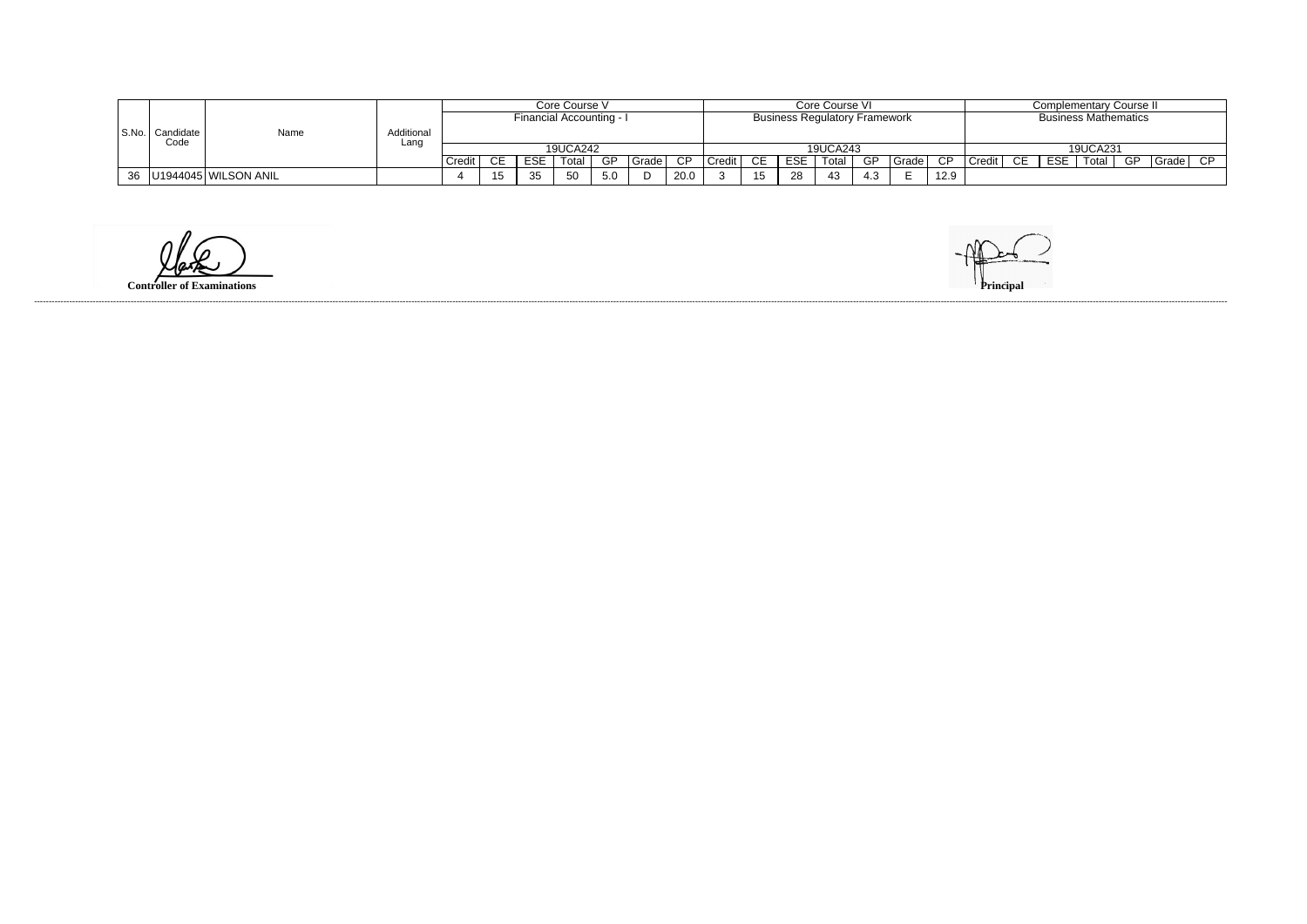|    |                                     | Core Course V |                          |       |    |            |          | Core Course VI |                                      |      |        |           |            |          | Complementary Course II |                             |      |        |        |            |          |      |       |     |
|----|-------------------------------------|---------------|--------------------------|-------|----|------------|----------|----------------|--------------------------------------|------|--------|-----------|------------|----------|-------------------------|-----------------------------|------|--------|--------|------------|----------|------|-------|-----|
|    |                                     |               | Financial Accounting - I |       |    |            |          |                | <b>Business Regulatory Framework</b> |      |        |           |            |          |                         | <b>Business Mathematics</b> |      |        |        |            |          |      |       |     |
|    | S.No.   Candidate  <br>Name<br>Code | Additional    |                          |       |    |            |          |                |                                      |      |        |           |            |          |                         |                             |      |        |        |            |          |      |       |     |
|    |                                     |               | Lanc                     |       |    |            | 19UCA242 |                |                                      |      |        |           |            | 19UCA243 |                         |                             |      |        |        |            | 19UCA231 |      |       |     |
|    |                                     |               |                          | Credi | ົ⊏ | <b>ESE</b> | Total    | GP.            | Grade I                              | CP   | Credit | <b>CE</b> | <b>ESE</b> | Total    | GP                      | Grade <sub>1</sub>          | CP   | Credit | $\cap$ | <b>ESE</b> | Total    | - GP | Grade | CP. |
| 36 | U1944045 WILSON ANIL                |               |                          |       |    | 35         | 50       | 5.0            |                                      | 20.0 |        |           | 28         | 43       | 4.ა                     |                             | 12.9 |        |        |            |          |      |       |     |

**Controller of Examinations**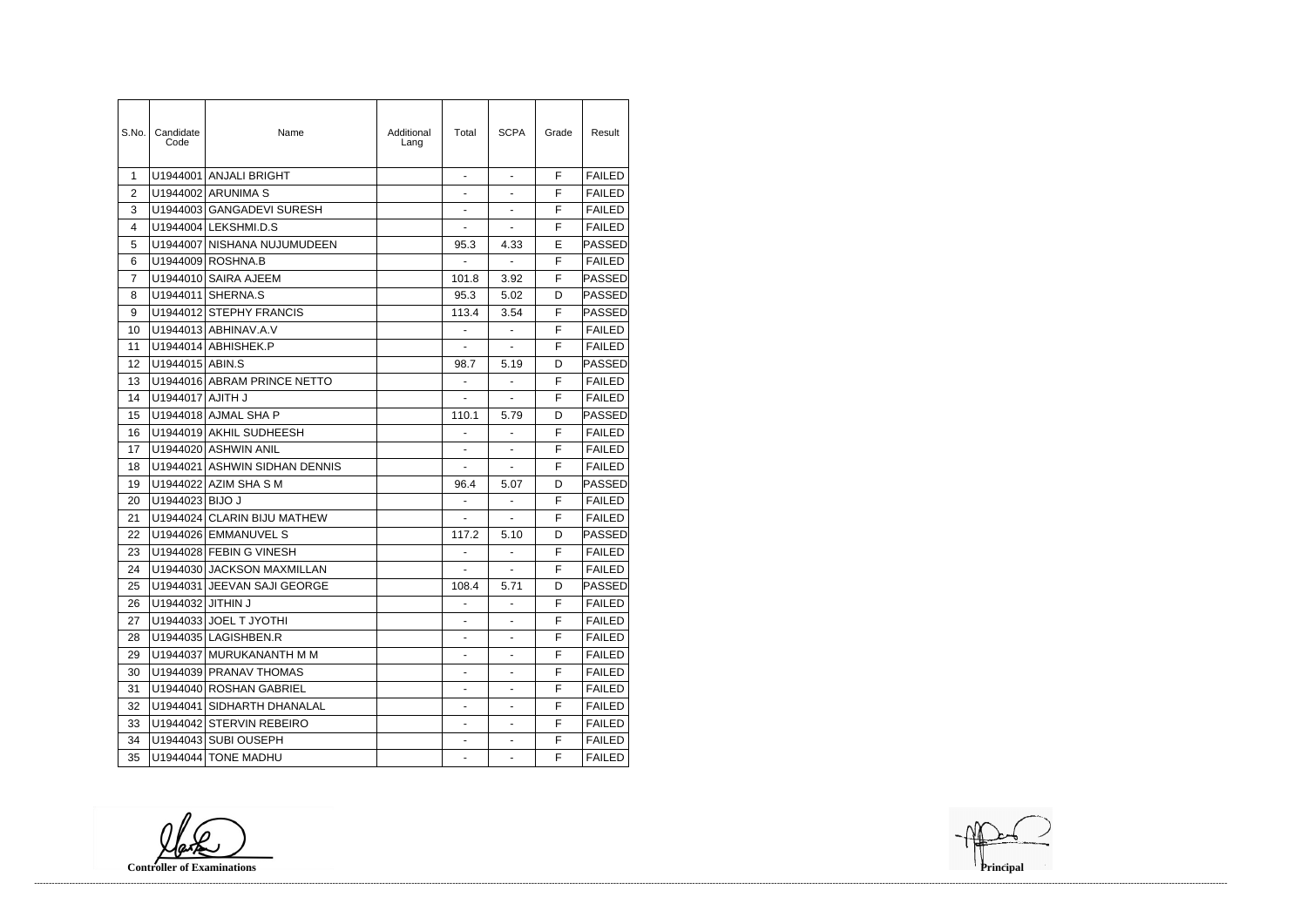| S.No.          | Candidate<br>Code | Name                          | Additional<br>Lang | Total                    | <b>SCPA</b>              | Grade | Result            |
|----------------|-------------------|-------------------------------|--------------------|--------------------------|--------------------------|-------|-------------------|
| $\mathbf 1$    |                   | U1944001 ANJALI BRIGHT        |                    |                          |                          | F     | <b>FAILED</b>     |
| 2              |                   | U1944002 ARUNIMA S            |                    | $\overline{\phantom{0}}$ | $\overline{\phantom{0}}$ | F     | <b>FAILED</b>     |
| 3              |                   | U1944003 GANGADEVI SURESH     |                    | ä,                       | ä,                       | F     | <b>FAILED</b>     |
| 4              |                   | U1944004 LEKSHMI.D.S          |                    | ÷,                       | ÷,                       | F     | <b>FAILED</b>     |
| 5              |                   | U1944007 NISHANA NUJUMUDEEN   |                    | 95.3                     | 4.33                     | E     | <b>PASSED</b>     |
| 6              |                   | U1944009 ROSHNA.B             |                    |                          |                          | F     | <b>FAILED</b>     |
| $\overline{7}$ |                   | U1944010 SAIRA AJEEM          |                    | 101.8                    | 3.92                     | F     | <b>PASSED</b>     |
| 8              | U1944011          | SHERNA.S                      |                    | 95.3                     | 5.02                     | D     | <b>PASSED</b>     |
| 9              |                   | U1944012 STEPHY FRANCIS       |                    | 113.4                    | 3.54                     | F     | PASSED            |
| 10             |                   | U1944013 ABHINAV.A.V          |                    | $\overline{\phantom{a}}$ | $\blacksquare$           | F     | <b>FAILED</b>     |
| 11             |                   | U1944014 ABHISHEK.P           |                    |                          |                          | F     | <b>FAILED</b>     |
| 12             | U1944015 ABIN.S   |                               |                    | 98.7                     | 5.19                     | D     | <b>PASSED</b>     |
| 13             |                   | U1944016 ABRAM PRINCE NETTO   |                    | $\blacksquare$           | ä,                       | F     | <b>FAILED</b>     |
| 14             | U1944017 AJITH J  |                               |                    | $\overline{a}$           | ÷.                       | F     | <b>FAILED</b>     |
| 15             |                   | U1944018 AJMAL SHA P          |                    | 110.1                    | 5.79                     | D     | <b>PASSED</b>     |
| 16             |                   | U1944019 AKHIL SUDHEESH       |                    |                          |                          | F     | <b>FAILED</b>     |
| 17             |                   | U1944020 ASHWIN ANIL          |                    |                          | ÷,                       | F     | <b>FAILED</b>     |
| 18             |                   | U1944021 ASHWIN SIDHAN DENNIS |                    | ÷,                       | ÷,                       | F     | <b>FAILED</b>     |
| 19             |                   | U1944022 AZIM SHA S M         |                    | 96.4                     | 5.07                     | D     | PASSED            |
| 20             | U1944023 BIJO J   |                               |                    | $\blacksquare$           | ÷,                       | F     | <b>FAILED</b>     |
| 21             | U1944024          | <b>CLARIN BIJU MATHEW</b>     |                    |                          | ÷,                       | F     | <b>FAILED</b>     |
| 22             |                   | U1944026 EMMANUVEL S          |                    | 117.2                    | 5.10                     | D     | <b>PASSED</b>     |
| 23             |                   | U1944028 FEBIN G VINESH       |                    |                          | $\overline{\phantom{0}}$ | F     | <b>FAILED</b>     |
| 24             |                   | U1944030 JACKSON MAXMILLAN    |                    | $\blacksquare$           | ÷.                       | F     | <b>FAILED</b>     |
| 25             |                   | U1944031 JEEVAN SAJI GEORGE   |                    | 108.4                    | 5.71                     | D     | $\mathsf{PASSED}$ |
| 26             | U1944032 JITHIN J |                               |                    |                          |                          | F     | <b>FAILED</b>     |
| 27             |                   | U1944033 JOEL T JYOTHI        |                    |                          | $\overline{\phantom{0}}$ | F     | <b>FAILED</b>     |
| 28             |                   | U1944035 LAGISHBEN.R          |                    |                          |                          | F     | <b>FAILED</b>     |
| 29             |                   | U1944037 MURUKANANTH M M      |                    |                          |                          | F.    | <b>FAILED</b>     |
| 30             |                   | U1944039 PRANAV THOMAS        |                    | $\blacksquare$           | $\overline{\phantom{0}}$ | F     | <b>FAILED</b>     |
| 31             |                   | U1944040 ROSHAN GABRIEL       |                    |                          |                          | F     | <b>FAILED</b>     |
| 32             |                   | U1944041 SIDHARTH DHANALAL    |                    |                          |                          | F     | <b>FAILED</b>     |
| 33             |                   | U1944042 STERVIN REBEIRO      |                    |                          |                          | F     | <b>FAILED</b>     |
| 34             |                   | U1944043 SUBI OUSEPH          |                    |                          | ۰                        | F.    | <b>FAILED</b>     |
| 35             |                   | U1944044 TONE MADHU           |                    |                          | -                        | F     | <b>FAILED</b>     |

**Controller of Examinations Principal**